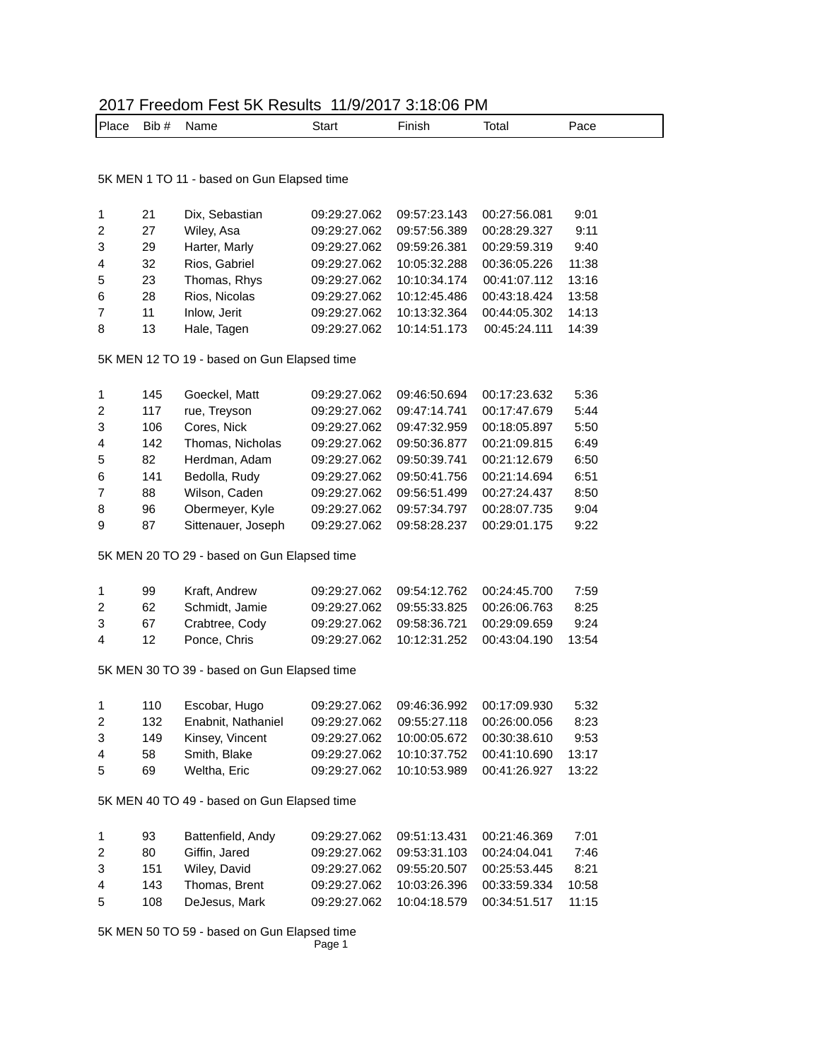| 2017 Freedom Fest 5K Results 11/9/2017 3:18:06 PM |  |
|---------------------------------------------------|--|
|---------------------------------------------------|--|

| l Place | Bib # | Name | Start | Finish | Total | Pace |
|---------|-------|------|-------|--------|-------|------|
|---------|-------|------|-------|--------|-------|------|

5K MEN 1 TO 11 - based on Gun Elapsed time

| 21 | Dix, Sebastian | 09:29:27.062 | 09:57:23.143 | 00:27:56.081 | 9:01  |
|----|----------------|--------------|--------------|--------------|-------|
| 27 | Wiley, Asa     | 09:29:27.062 | 09:57:56.389 | 00:28:29.327 | 9:11  |
| 29 | Harter, Marly  | 09:29:27.062 | 09:59:26.381 | 00:29:59.319 | 9:40  |
| 32 | Rios, Gabriel  | 09:29:27.062 | 10:05:32.288 | 00:36:05.226 | 11:38 |
| 23 | Thomas, Rhys   | 09:29:27.062 | 10:10:34.174 | 00:41:07.112 | 13:16 |
| 28 | Rios, Nicolas  | 09:29:27.062 | 10:12:45.486 | 00:43:18.424 | 13:58 |
| 11 | Inlow, Jerit   | 09:29:27.062 | 10:13:32.364 | 00:44:05.302 | 14:13 |
| 13 | Hale, Tagen    | 09:29:27.062 | 10:14:51.173 | 00:45:24.111 | 14:39 |
|    |                |              |              |              |       |

5K MEN 12 TO 19 - based on Gun Elapsed time

| $\mathbf 1$    | 145 | Goeckel, Matt      | 09:29:27.062 | 09:46:50.694 | 00:17:23.632 | 5:36 |
|----------------|-----|--------------------|--------------|--------------|--------------|------|
| 2              | 117 | rue, Treyson       | 09:29:27.062 | 09:47:14.741 | 00:17:47.679 | 5:44 |
| 3              | 106 | Cores, Nick        | 09:29:27.062 | 09:47:32.959 | 00:18:05.897 | 5:50 |
| $\overline{4}$ | 142 | Thomas, Nicholas   | 09:29:27.062 | 09:50:36.877 | 00:21:09.815 | 6:49 |
| 5              | 82  | Herdman, Adam      | 09:29:27.062 | 09:50:39.741 | 00:21:12.679 | 6:50 |
| 6              | 141 | Bedolla, Rudy      | 09:29:27.062 | 09:50:41.756 | 00:21:14.694 | 6:51 |
| $\overline{7}$ | 88  | Wilson, Caden      | 09:29:27.062 | 09:56:51.499 | 00:27:24.437 | 8:50 |
| 8              | 96  | Obermeyer, Kyle    | 09:29:27.062 | 09:57:34.797 | 00:28:07.735 | 9:04 |
| 9              | 87  | Sittenauer, Joseph | 09:29:27.062 | 09:58:28.237 | 00:29:01.175 | 9:22 |
|                |     |                    |              |              |              |      |

5K MEN 20 TO 29 - based on Gun Elapsed time

| 99          | Kraft, Andrew |                                                  |  | 7:59                                                                                                                                    |
|-------------|---------------|--------------------------------------------------|--|-----------------------------------------------------------------------------------------------------------------------------------------|
| $2^{\circ}$ |               |                                                  |  | 8:25                                                                                                                                    |
|             |               |                                                  |  | 9:24                                                                                                                                    |
|             | Ponce, Chris  |                                                  |  |                                                                                                                                         |
|             |               | 62 Schmidt, Jamie<br>3 67 Crabtree, Cody<br>4 12 |  | 09:29:27.062  09:54:12.762  00:24:45.700<br>09:29:27.062  09:55:33.825  00:26:06.763<br>09:29:27.062  10:12:31.252  00:43:04.190  13:54 |

5K MEN 30 TO 39 - based on Gun Elapsed time

| 1  | 110 | Escobar, Hugo      |              | 09:29:27.062  09:46:36.992  00:17:09.930 |                                          | 5:32  |
|----|-----|--------------------|--------------|------------------------------------------|------------------------------------------|-------|
| 2  | 132 | Enabnit, Nathaniel | 09:29:27.062 |                                          | 09:55:27.118 00:26:00.056                | 8:23  |
| 3  | 149 | Kinsey, Vincent    |              | 09:29:27.062  10:00:05.672  00:30:38.610 |                                          | 9:53  |
| 4  | 58  | Smith, Blake       |              | 09:29:27.062  10:10:37.752  00:41:10.690 |                                          | 13:17 |
| -5 | 69  | Weltha, Eric       |              |                                          | 09:29:27.062  10:10:53.989  00:41:26.927 | 13:22 |

5K MEN 40 TO 49 - based on Gun Elapsed time

| $\mathbf{1}$  | 93  | Battenfield, Andy |              | 09:29:27.062  09:51:13.431  00:21:46.369 |                                                 | 7:01  |
|---------------|-----|-------------------|--------------|------------------------------------------|-------------------------------------------------|-------|
| $\mathcal{P}$ | 80  | Giffin, Jared     | 09:29:27.062 |                                          |                                                 | 7:46  |
| 3             | 151 | Wiley, David      |              | 09:29:27.062  09:55:20.507  00:25:53.445 |                                                 | 8:21  |
| 4             | 143 | Thomas, Brent     |              | 09:29:27.062  10:03:26.396  00:33:59.334 |                                                 | 10:58 |
| 5             | 108 | DeJesus, Mark     |              |                                          | 09:29:27.062  10:04:18.579  00:34:51.517  11:15 |       |

Page 1 5K MEN 50 TO 59 - based on Gun Elapsed time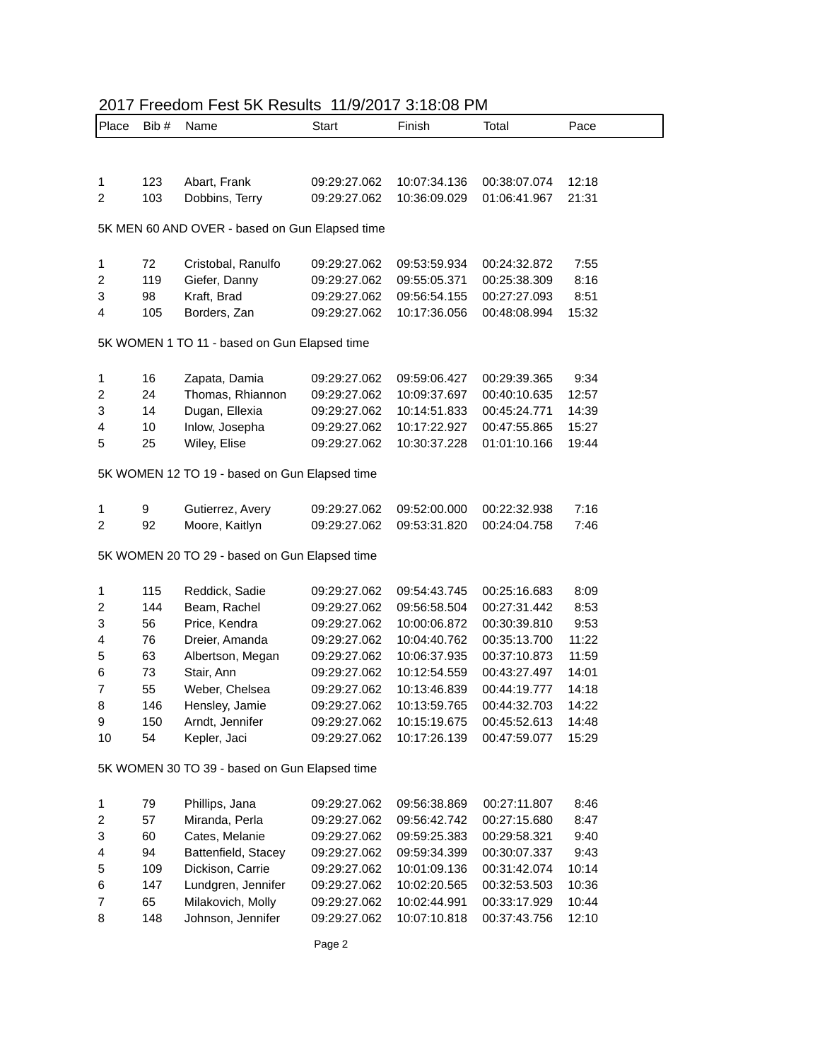| Place  | Bib#     | Name                                           | Start                        | Finish                       | Total                        | Pace          |
|--------|----------|------------------------------------------------|------------------------------|------------------------------|------------------------------|---------------|
|        |          |                                                |                              |                              |                              |               |
| 1      | 123      | Abart, Frank                                   | 09:29:27.062                 | 10:07:34.136                 | 00:38:07.074                 | 12:18         |
| 2      | 103      | Dobbins, Terry                                 | 09:29:27.062                 | 10:36:09.029                 | 01:06:41.967                 | 21:31         |
|        |          |                                                |                              |                              |                              |               |
|        |          | 5K MEN 60 AND OVER - based on Gun Elapsed time |                              |                              |                              |               |
| 1      | 72       | Cristobal, Ranulfo                             | 09:29:27.062                 | 09:53:59.934                 | 00:24:32.872                 | 7:55          |
| 2      | 119      | Giefer, Danny                                  | 09:29:27.062                 | 09:55:05.371                 | 00:25:38.309                 | 8:16          |
| 3      | 98       | Kraft, Brad                                    | 09:29:27.062                 | 09:56:54.155                 | 00:27:27.093                 | 8:51          |
| 4      | 105      | Borders, Zan                                   | 09:29:27.062                 | 10:17:36.056                 | 00:48:08.994                 | 15:32         |
|        |          | 5K WOMEN 1 TO 11 - based on Gun Elapsed time   |                              |                              |                              |               |
| 1      | 16       |                                                |                              |                              |                              | 9:34          |
| 2      | 24       | Zapata, Damia<br>Thomas, Rhiannon              | 09:29:27.062<br>09:29:27.062 | 09:59:06.427<br>10:09:37.697 | 00:29:39.365<br>00:40:10.635 | 12:57         |
| 3      | 14       | Dugan, Ellexia                                 | 09:29:27.062                 | 10:14:51.833                 | 00:45:24.771                 | 14:39         |
| 4      | 10       | Inlow, Josepha                                 | 09:29:27.062                 | 10:17:22.927                 | 00:47:55.865                 | 15:27         |
| 5      | 25       | Wiley, Elise                                   | 09:29:27.062                 | 10:30:37.228                 | 01:01:10.166                 | 19:44         |
|        |          |                                                |                              |                              |                              |               |
|        |          | 5K WOMEN 12 TO 19 - based on Gun Elapsed time  |                              |                              |                              |               |
| 1      | 9        | Gutierrez, Avery                               | 09:29:27.062                 | 09:52:00.000                 | 00:22:32.938                 | 7:16          |
| 2      | 92       | Moore, Kaitlyn                                 | 09:29:27.062                 | 09:53:31.820                 | 00:24:04.758                 | 7:46          |
|        |          | 5K WOMEN 20 TO 29 - based on Gun Elapsed time  |                              |                              |                              |               |
|        |          |                                                |                              |                              |                              |               |
| 1      | 115      | Reddick, Sadie                                 | 09:29:27.062                 | 09:54:43.745                 | 00:25:16.683                 | 8:09          |
| 2      | 144      | Beam, Rachel                                   | 09:29:27.062                 | 09:56:58.504                 | 00:27:31.442                 | 8:53          |
| 3      | 56<br>76 | Price, Kendra<br>Dreier, Amanda                | 09:29:27.062<br>09:29:27.062 | 10:00:06.872<br>10:04:40.762 | 00:30:39.810<br>00:35:13.700 | 9:53<br>11:22 |
| 4<br>5 | 63       | Albertson, Megan                               | 09:29:27.062                 | 10:06:37.935                 | 00:37:10.873                 | 11:59         |
| 6      | 73       | Stair, Ann                                     | 09:29:27.062                 | 10:12:54.559                 | 00:43:27.497                 | 14:01         |
| 7      | 55       | Weber, Chelsea                                 | 09:29:27.062                 | 10:13:46.839                 | 00:44:19.777                 | 14:18         |
| 8      | 146      | Hensley, Jamie                                 | 09:29:27.062                 | 10:13:59.765                 | 00:44:32.703                 | 14:22         |
| 9      | 150      | Arndt, Jennifer                                | 09:29:27.062                 | 10:15:19.675                 | 00:45:52.613                 | 14:48         |
| 10     | 54       | Kepler, Jaci                                   | 09:29:27.062                 | 10:17:26.139                 | 00:47:59.077                 | 15:29         |
|        |          | 5K WOMEN 30 TO 39 - based on Gun Elapsed time  |                              |                              |                              |               |
|        |          |                                                |                              |                              |                              |               |
| 1      | 79       | Phillips, Jana                                 | 09:29:27.062                 | 09:56:38.869                 | 00:27:11.807                 | 8:46          |
| 2      | 57       | Miranda, Perla                                 | 09:29:27.062                 | 09:56:42.742                 | 00:27:15.680                 | 8:47          |
| 3      | 60       | Cates, Melanie                                 | 09:29:27.062                 | 09:59:25.383                 | 00:29:58.321                 | 9:40          |
| 4      | 94       | Battenfield, Stacey                            | 09:29:27.062                 | 09:59:34.399                 | 00:30:07.337                 | 9:43          |
| 5      | 109      | Dickison, Carrie                               | 09:29:27.062                 | 10:01:09.136                 | 00:31:42.074                 | 10:14         |
| 6      | 147      | Lundgren, Jennifer                             | 09:29:27.062                 | 10:02:20.565                 | 00:32:53.503                 | 10:36         |
| 7      | 65       | Milakovich, Molly                              | 09:29:27.062                 | 10:02:44.991                 | 00:33:17.929                 | 10:44         |
| 8      | 148      | Johnson, Jennifer                              | 09:29:27.062                 | 10:07:10.818                 | 00:37:43.756                 | 12:10         |
|        |          |                                                | Page 2                       |                              |                              |               |

## 2017 Freedom Fest 5K Results 11/9/2017 3:18:08 PM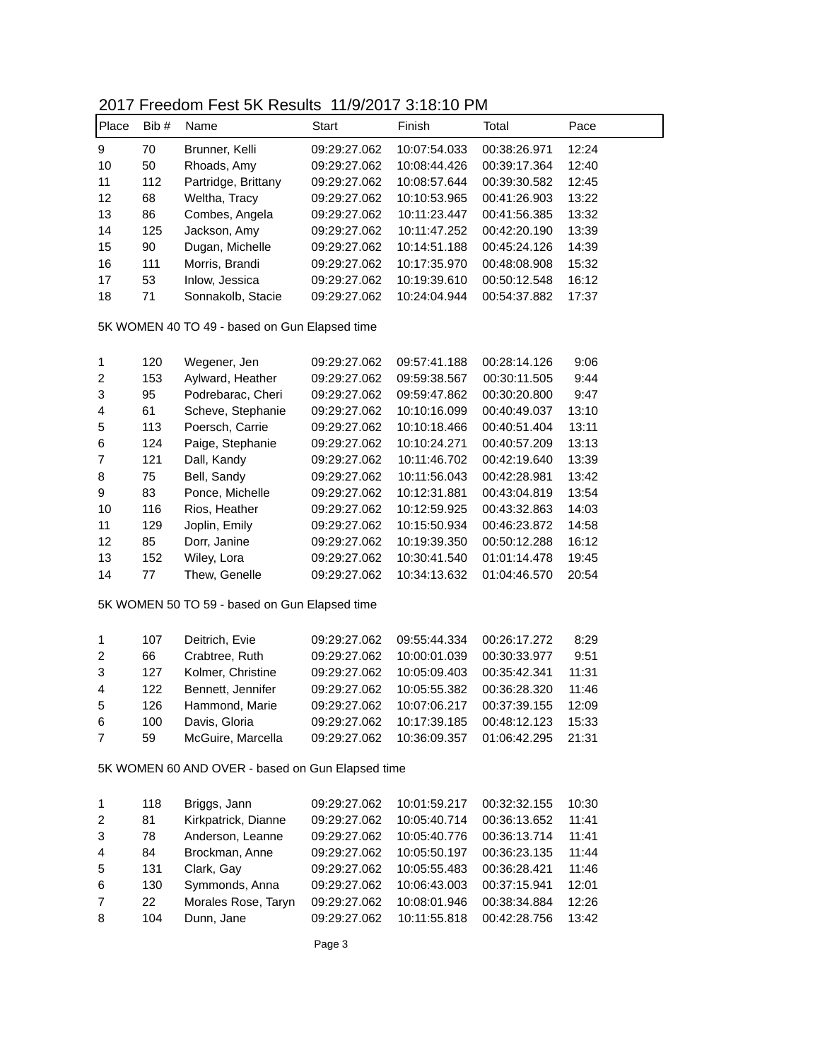## 2017 Freedom Fest 5K Results 11/9/2017 3:18:10 PM

| Place | Bib # | Name                | Start        | Finish       | Total        | Pace  |
|-------|-------|---------------------|--------------|--------------|--------------|-------|
| 9     | 70    | Brunner, Kelli      | 09:29:27.062 | 10:07:54.033 | 00:38:26.971 | 12:24 |
| 10    | 50    | Rhoads, Amy         | 09:29:27.062 | 10:08:44.426 | 00:39:17.364 | 12:40 |
| 11    | 112   | Partridge, Brittany | 09:29:27.062 | 10:08:57.644 | 00:39:30.582 | 12:45 |
| 12    | 68    | Weltha, Tracy       | 09:29:27.062 | 10:10:53.965 | 00:41:26.903 | 13:22 |
| 13    | 86    | Combes, Angela      | 09:29:27.062 | 10:11:23.447 | 00:41:56.385 | 13:32 |
| 14    | 125   | Jackson, Amy        | 09:29:27.062 | 10:11:47.252 | 00:42:20.190 | 13:39 |
| 15    | 90    | Dugan, Michelle     | 09:29:27.062 | 10:14:51.188 | 00:45:24.126 | 14:39 |
| 16    | 111   | Morris, Brandi      | 09:29:27.062 | 10:17:35.970 | 00:48:08.908 | 15:32 |
| 17    | 53    | Inlow, Jessica      | 09:29:27.062 | 10:19:39.610 | 00:50:12.548 | 16:12 |
| 18    | 71    | Sonnakolb, Stacie   | 09:29:27.062 | 10:24:04.944 | 00:54:37.882 | 17:37 |

5K WOMEN 40 TO 49 - based on Gun Elapsed time

| 1  | 120 | Wegener, Jen      | 09:29:27.062 | 09:57:41.188 | 00:28:14.126 | 9:06  |
|----|-----|-------------------|--------------|--------------|--------------|-------|
| 2  | 153 | Aylward, Heather  | 09:29:27.062 | 09:59:38.567 | 00:30:11.505 | 9:44  |
| 3  | 95  | Podrebarac, Cheri | 09:29:27.062 | 09:59:47.862 | 00:30:20.800 | 9:47  |
| 4  | 61  | Scheve, Stephanie | 09:29:27.062 | 10:10:16.099 | 00:40:49.037 | 13:10 |
| 5  | 113 | Poersch, Carrie   | 09:29:27.062 | 10:10:18.466 | 00:40:51.404 | 13:11 |
| 6  | 124 | Paige, Stephanie  | 09:29:27.062 | 10:10:24.271 | 00:40:57.209 | 13:13 |
| 7  | 121 | Dall, Kandy       | 09:29:27.062 | 10:11:46.702 | 00:42:19.640 | 13:39 |
| 8  | 75  | Bell, Sandy       | 09:29:27.062 | 10:11:56.043 | 00:42:28.981 | 13:42 |
| 9  | 83  | Ponce, Michelle   | 09:29:27.062 | 10:12:31.881 | 00:43:04.819 | 13:54 |
| 10 | 116 | Rios, Heather     | 09:29:27.062 | 10:12:59.925 | 00:43:32.863 | 14:03 |
| 11 | 129 | Joplin, Emily     | 09:29:27.062 | 10:15:50.934 | 00:46:23.872 | 14:58 |
| 12 | 85  | Dorr, Janine      | 09:29:27.062 | 10:19:39.350 | 00:50:12.288 | 16:12 |
| 13 | 152 | Wiley, Lora       | 09:29:27.062 | 10:30:41.540 | 01:01:14.478 | 19:45 |
| 14 | 77  | Thew, Genelle     | 09:29:27.062 | 10:34:13.632 | 01:04:46.570 | 20:54 |
|    |     |                   |              |              |              |       |

5K WOMEN 50 TO 59 - based on Gun Elapsed time

| $\mathbf{1}$   | 107 | Deitrich, Evie    | 09:29:27.062 | 09:55:44.334 | 00:26:17.272 | 8:29  |
|----------------|-----|-------------------|--------------|--------------|--------------|-------|
| $\mathcal{P}$  | 66  | Crabtree, Ruth    | 09:29:27.062 | 10:00:01.039 | 00:30:33.977 | 9:51  |
| 3              | 127 | Kolmer, Christine | 09:29:27.062 | 10:05:09.403 | 00:35:42.341 | 11:31 |
| 4              | 122 | Bennett, Jennifer | 09:29:27.062 | 10:05:55.382 | 00:36:28.320 | 11:46 |
| 5              | 126 | Hammond, Marie    | 09:29:27.062 | 10:07:06.217 | 00:37:39.155 | 12:09 |
| 6              | 100 | Davis, Gloria     | 09:29:27.062 | 10:17:39.185 | 00:48:12.123 | 15:33 |
| $\overline{7}$ | 59  | McGuire, Marcella | 09:29:27.062 | 10:36:09.357 | 01:06:42.295 | 21:31 |
|                |     |                   |              |              |              |       |

5K WOMEN 60 AND OVER - based on Gun Elapsed time

| $\mathbf 1$    |     |                     |              |              |              |       |
|----------------|-----|---------------------|--------------|--------------|--------------|-------|
|                | 118 | Briggs, Jann        | 09:29:27.062 | 10:01:59.217 | 00:32:32.155 | 10:30 |
| 2              | 81  | Kirkpatrick, Dianne | 09:29:27.062 | 10:05:40.714 | 00:36:13.652 | 11:41 |
| 3              | 78  | Anderson, Leanne    | 09:29:27.062 | 10:05:40.776 | 00:36:13.714 | 11:41 |
| $\overline{4}$ | 84  | Brockman, Anne      | 09:29:27.062 | 10:05:50.197 | 00:36:23.135 | 11:44 |
| -5             | 131 | Clark, Gay          | 09:29:27.062 | 10:05:55.483 | 00:36:28.421 | 11:46 |
| -6             | 130 | Symmonds, Anna      | 09:29:27.062 | 10:06:43.003 | 00:37:15.941 | 12:01 |
| 7              | 22  | Morales Rose, Taryn | 09:29:27.062 | 10:08:01.946 | 00:38:34.884 | 12:26 |
| 8              | 104 | Dunn, Jane          | 09:29:27.062 | 10:11:55.818 | 00:42:28.756 | 13:42 |
|                |     |                     |              |              |              |       |